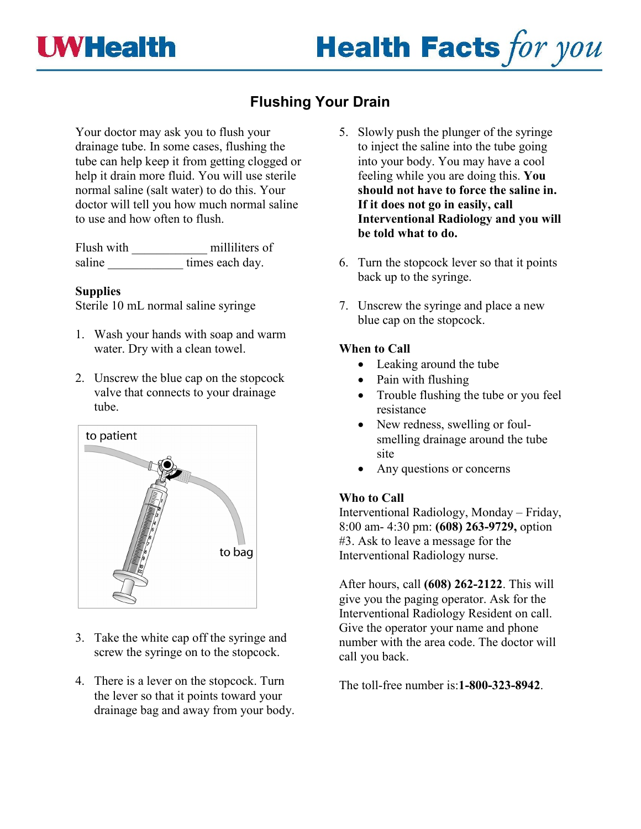

## **Flushing Your Drain**

Your doctor may ask you to flush your drainage tube. In some cases, flushing the tube can help keep it from getting clogged or help it drain more fluid. You will use sterile normal saline (salt water) to do this. Your doctor will tell you how much normal saline to use and how often to flush.

Flush with \_\_\_\_\_\_\_\_\_\_\_\_ milliliters of saline \_\_\_\_\_\_\_\_\_\_\_\_\_\_\_\_\_ times each day.

## **Supplies**

Sterile 10 mL normal saline syringe

- 1. Wash your hands with soap and warm water. Dry with a clean towel.
- 2. Unscrew the blue cap on the stopcock valve that connects to your drainage tube.



- 3. Take the white cap off the syringe and screw the syringe on to the stopcock.
- 4. There is a lever on the stopcock. Turn the lever so that it points toward your drainage bag and away from your body.
- 5. Slowly push the plunger of the syringe to inject the saline into the tube going into your body. You may have a cool feeling while you are doing this. **You should not have to force the saline in. If it does not go in easily, call Interventional Radiology and you will be told what to do.**
- 6. Turn the stopcock lever so that it points back up to the syringe.
- 7. Unscrew the syringe and place a new blue cap on the stopcock.

## **When to Call**

- Leaking around the tube
- Pain with flushing
- Trouble flushing the tube or you feel resistance
- New redness, swelling or foulsmelling drainage around the tube site
- Any questions or concerns

## **Who to Call**

Interventional Radiology, Monday – Friday, 8:00 am- 4:30 pm: **(608) 263-9729,** option #3. Ask to leave a message for the Interventional Radiology nurse.

After hours, call **(608) 262-2122**. This will give you the paging operator. Ask for the Interventional Radiology Resident on call. Give the operator your name and phone number with the area code. The doctor will call you back.

The toll-free number is:**1-800-323-8942**.